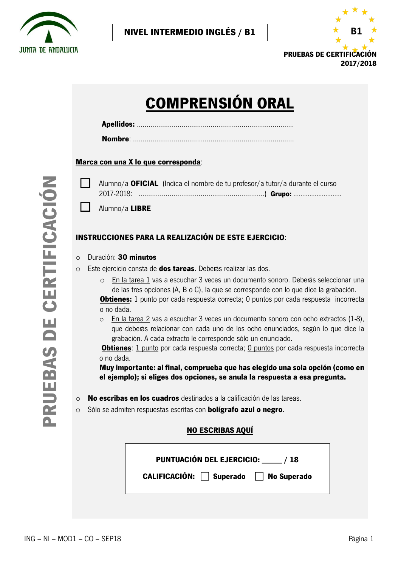

**NIVEL INTERMEDIO INGLÉS / B1**



# **COMPRENSIÓN ORAL**

**Nombre**: ………………………………………………………………………..

#### **Marca con una X lo que corresponda**:

|  | Alumno/a OFICIAL (Indica el nombre de tu profesor/a tutor/a durante el curso |
|--|------------------------------------------------------------------------------|
|  | 2017-2018: …………………………………………………………) <b>Grupo:</b> ………………………                   |

Alumno/a **LIBRE** 

## **INSTRUCCIONES PARA LA REALIZACIÓN DE ESTE EJERCICIO**:

#### o Duración: **30 minutos**

- o Este ejercicio consta de **dos tareas**. Deberás realizar las dos.
	- o En la tarea 1 vas a escuchar 3 veces un documento sonoro. Deberás seleccionar una de las tres opciones (A, B o C), la que se corresponde con lo que dice la grabación. **Obtienes:** 1 punto por cada respuesta correcta; 0 puntos por cada respuesta incorrecta o no dada.
	- o En la tarea 2 vas a escuchar 3 veces un documento sonoro con ocho extractos (1‐8), que deberás relacionar con cada uno de los ocho enunciados, según lo que dice la grabación. A cada extracto le corresponde sólo un enunciado.

**Obtienes**: 1 punto por cada respuesta correcta; 0 puntos por cada respuesta incorrecta o no dada.

**Muy importante: al final, comprueba que has elegido una sola opción (como en el ejemplo); si eliges dos opciones, se anula la respuesta a esa pregunta.**

- o **No escribas en los cuadros** destinados a la calificación de las tareas.
- o Sólo se admiten respuestas escritas con **bolígrafo azul o negro**.

## **NO ESCRIBAS AQUÍ**

| PUNTUACIÓN DEL EJERCICIO: ____/ 18   |  |
|--------------------------------------|--|
| CALIFICACIÓN: Superado   No Superado |  |
|                                      |  |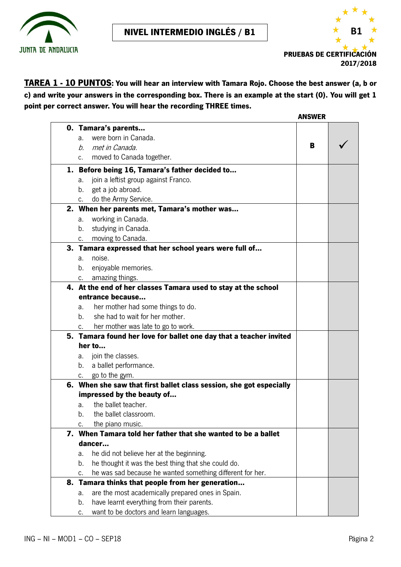



**TAREA 1 - 10 PUNTOS: You will hear an interview with Tamara Rojo. Choose the best answer (a, b or c) and write your answers in the corresponding box. There is an example at the start (0). You will get 1 point per correct answer. You will hear the recording THREE times.**

|                                                                                                       | <b>ANSWER</b> |  |
|-------------------------------------------------------------------------------------------------------|---------------|--|
| 0. Tamara's parents                                                                                   |               |  |
| were born in Canada.<br>a.                                                                            |               |  |
| met in Canada.<br>b.                                                                                  | B             |  |
| c. moved to Canada together.                                                                          |               |  |
| 1. Before being 16, Tamara's father decided to                                                        |               |  |
| join a leftist group against Franco.<br>a.                                                            |               |  |
| b. get a job abroad.                                                                                  |               |  |
| do the Army Service.<br>$c_{\rm r}$                                                                   |               |  |
| 2. When her parents met, Tamara's mother was                                                          |               |  |
| working in Canada.<br>а.                                                                              |               |  |
| studying in Canada.<br>b.                                                                             |               |  |
| c. moving to Canada.                                                                                  |               |  |
| 3. Tamara expressed that her school years were full of                                                |               |  |
| noise.<br>a.                                                                                          |               |  |
| enjoyable memories.<br>b.                                                                             |               |  |
| c. amazing things.                                                                                    |               |  |
| 4. At the end of her classes Tamara used to stay at the school                                        |               |  |
| entrance because                                                                                      |               |  |
| her mother had some things to do.<br>a.                                                               |               |  |
| she had to wait for her mother.<br>$b_{-}$                                                            |               |  |
| c. her mother was late to go to work.                                                                 |               |  |
| 5. Tamara found her love for ballet one day that a teacher invited                                    |               |  |
| her to                                                                                                |               |  |
| a. join the classes.                                                                                  |               |  |
| b. a ballet performance.                                                                              |               |  |
| c. go to the gym.                                                                                     |               |  |
| 6. When she saw that first ballet class session, she got especially<br>impressed by the beauty of     |               |  |
| the ballet teacher.                                                                                   |               |  |
| a.<br>the ballet classroom<br>h.                                                                      |               |  |
|                                                                                                       |               |  |
| the piano music.<br>C.<br>7. When Tamara told her father that she wanted to be a ballet               |               |  |
| dancer                                                                                                |               |  |
|                                                                                                       |               |  |
| he did not believe her at the beginning.<br>a.<br>he thought it was the best thing that she could do. |               |  |
| b.                                                                                                    |               |  |
| he was sad because he wanted something different for her.<br>c.                                       |               |  |
| 8. Tamara thinks that people from her generation                                                      |               |  |
| are the most academically prepared ones in Spain.<br>a.                                               |               |  |
| have learnt everything from their parents.<br>b.                                                      |               |  |
| want to be doctors and learn languages.<br>c.                                                         |               |  |